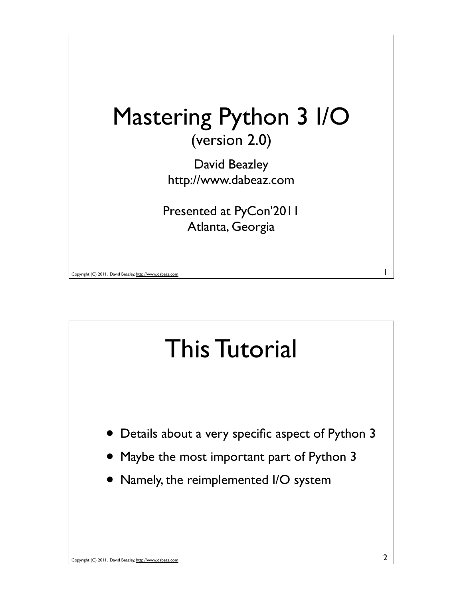

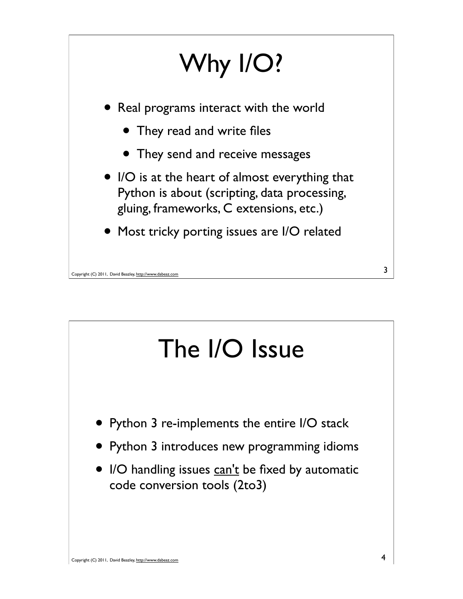

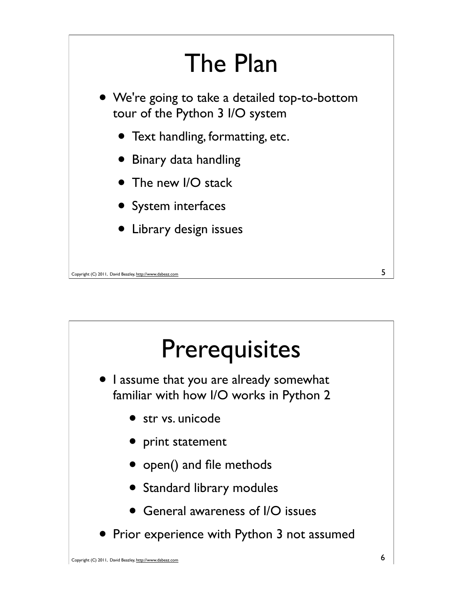

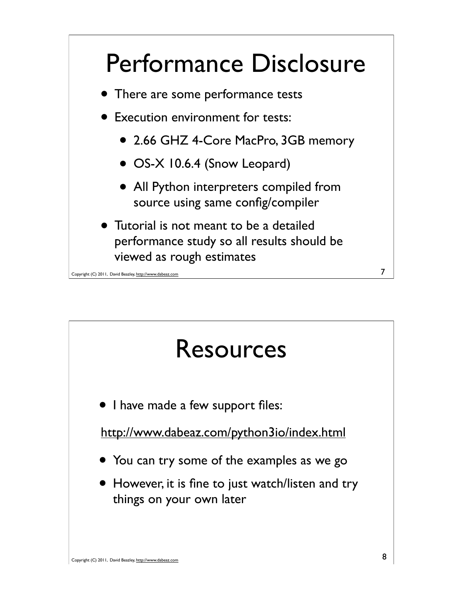

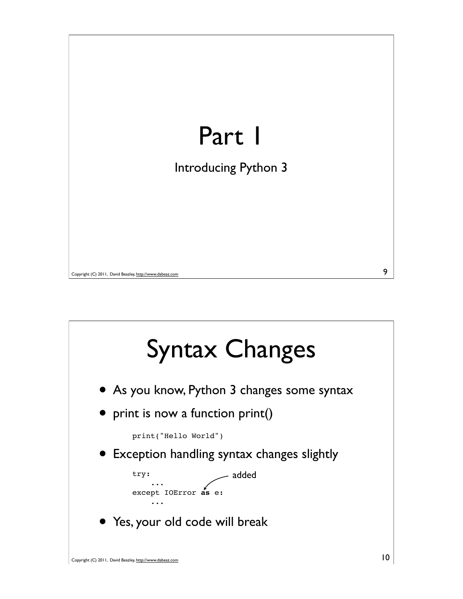

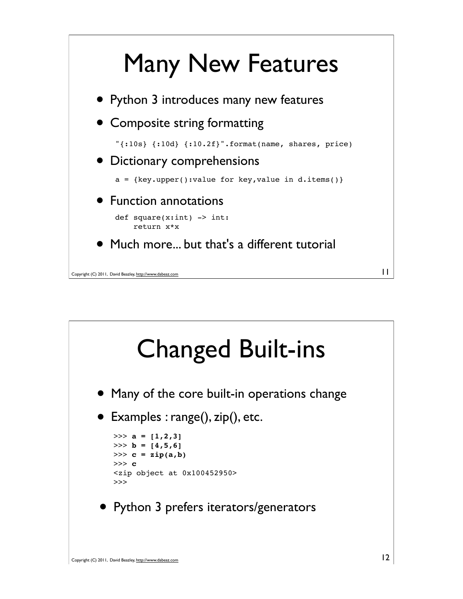

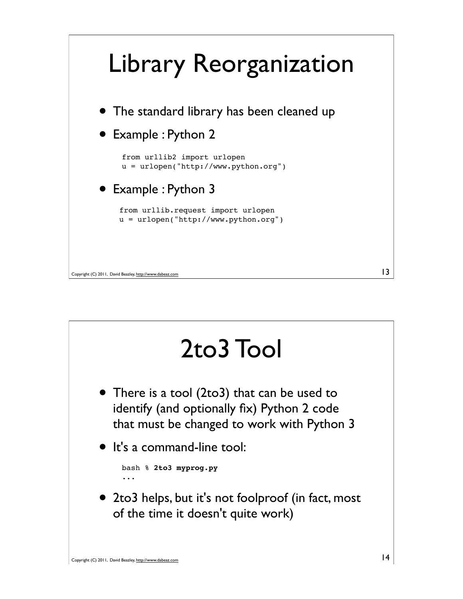

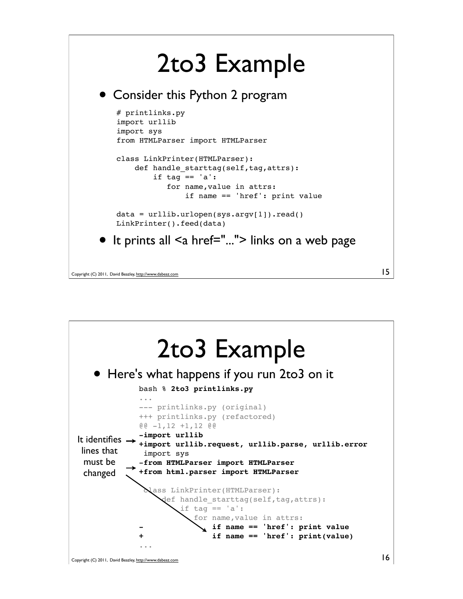## 2to3 Example

• Consider this Python 2 program

```
# printlinks.py
   import urllib
   import sys
   from HTMLParser import HTMLParser
   class LinkPrinter(HTMLParser):
       def handle_starttag(self,tag,attrs):
           if tag == 'a':
               for name,value in attrs:
                    if name == 'href': print value
   data = urllib.urlopen(sys.argv[1]).read()
   LinkPrinter().feed(data)
• It prints all <a href="..."> links on a web page
```
15

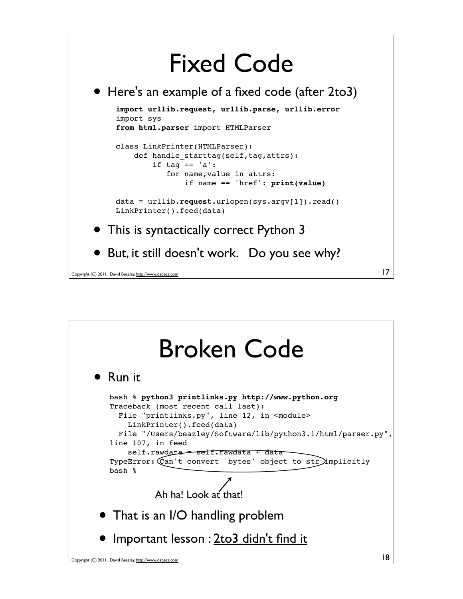## Fixed Code

• Here's an example of a fixed code (after 2to3)

```
import urllib.request, urllib.parse, urllib.error
import sys
from html.parser import HTMLParser
```

```
class LinkPrinter(HTMLParser):
    def handle starttag(self,tag,attrs):
        if tag == 'a': for name,value in attrs:
                if name == 'href': print(value)
```

```
data = urllib.request.urlopen(sys.argv[1]).read()
LinkPrinter().feed(data)
```
17

- This is syntactically correct Python 3
- But, it still doesn't work. Do you see why?

```
Copyright (C) 2011, David Beazley, http://www.dabeaz.com
```
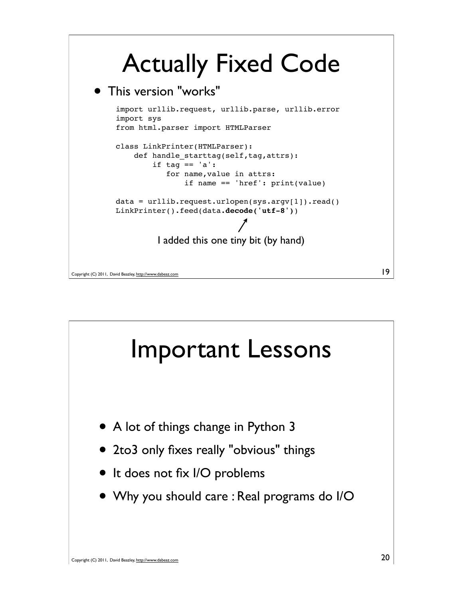## Actually Fixed Code

### This version "works"





19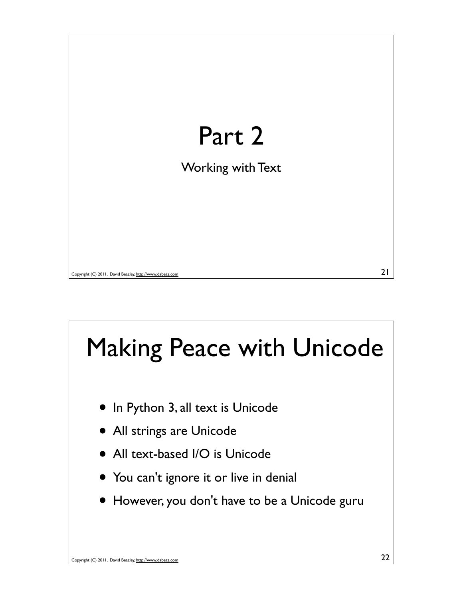

# Making Peace with Unicode

- In Python 3, all text is Unicode
- All strings are Unicode
- All text-based I/O is Unicode
- You can't ignore it or live in denial
- However, you don't have to be a Unicode guru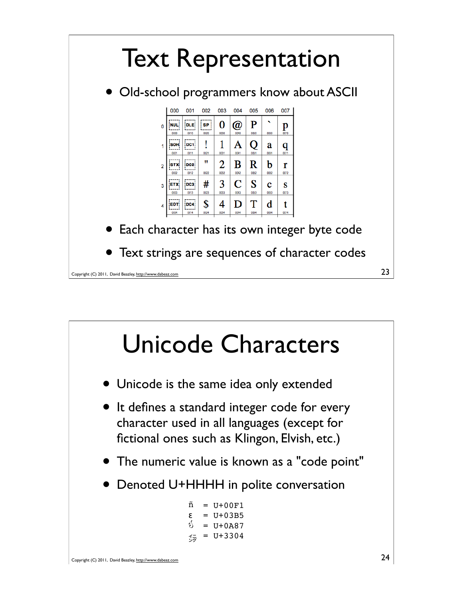

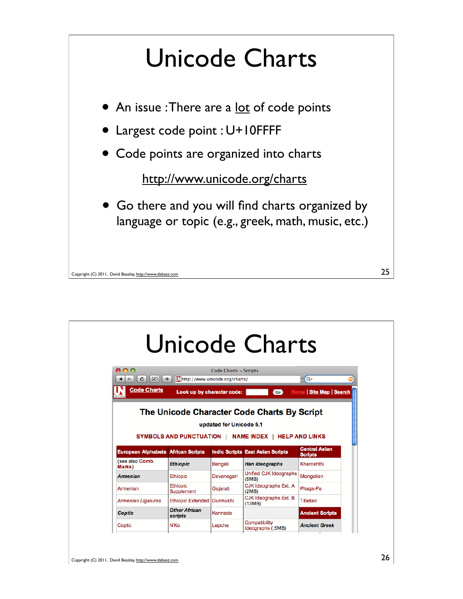

| 800                                            |                                                                      | Code Charts - Scripts |                                         |                                   |
|------------------------------------------------|----------------------------------------------------------------------|-----------------------|-----------------------------------------|-----------------------------------|
| $\overline{\times}$<br>Ċ<br><b>Code Charts</b> | [Thttp://www.unicode.org/charts/<br>÷.<br>Look up by character code: |                       | $\overline{G}$                          | $-Q+$<br>Home   Site Map   Search |
|                                                |                                                                      |                       |                                         |                                   |
| <b>European Alphabets African Scripts</b>      |                                                                      |                       | <b>Indic Scripts East Asian Scripts</b> | <b>Central Asian</b>              |
| (see also Comb.<br>Marks)                      | <b>Ethiopic</b>                                                      | Bengali               | <b>Han Ideographs</b>                   | <b>Scripts</b><br>Kharoshthi      |
| <b>Armenian</b>                                | <b>Ethiopic</b>                                                      | Devanagari            | <b>Unified CJK Ideographs</b><br>(5MB)  | Mongolian                         |
| Armenian                                       | <b>Ethiopic</b><br>Supplement                                        | Gujarati              | CJK Ideographs Ext. A<br>(2MB)          | Phags-Pa                          |
| <b>Armenian Ligatures</b>                      | <b>Ethiopic Extended</b>                                             | Gurmukhi              | CJK Ideographs Ext. B<br>(13MB)         | Tibetan                           |
| Coptic                                         | <b>Other African</b><br>scripts                                      | Kannada               |                                         | <b>Ancient Scripts</b>            |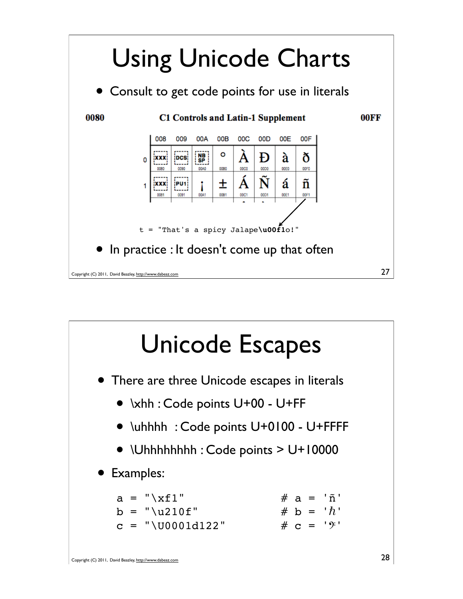

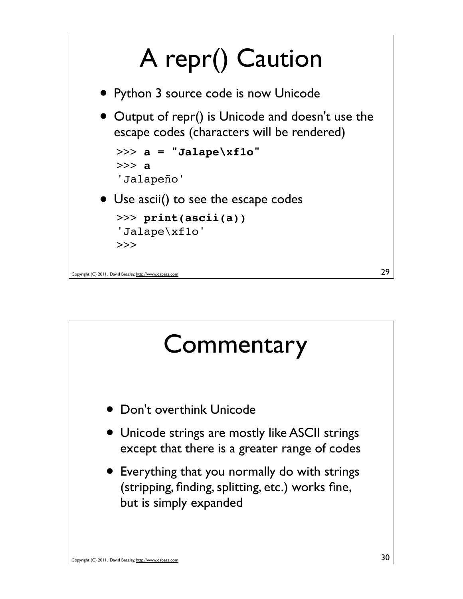

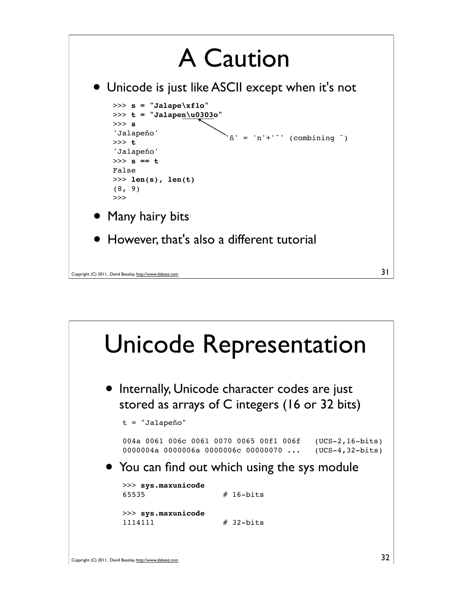

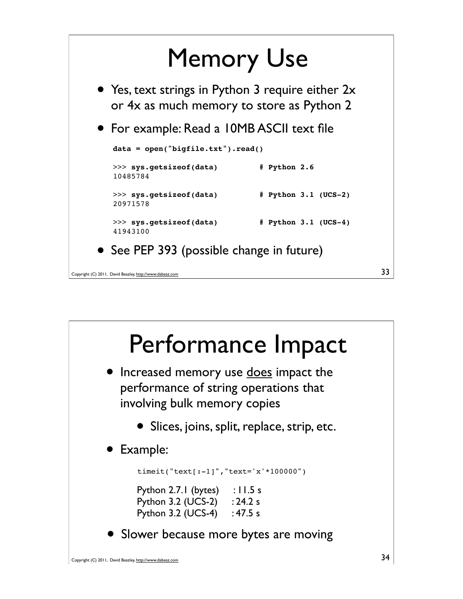

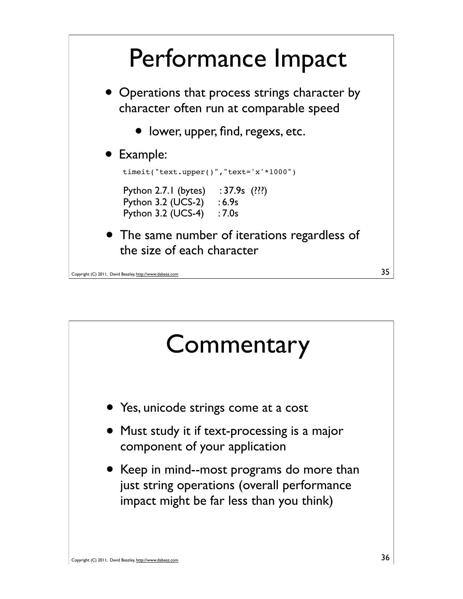

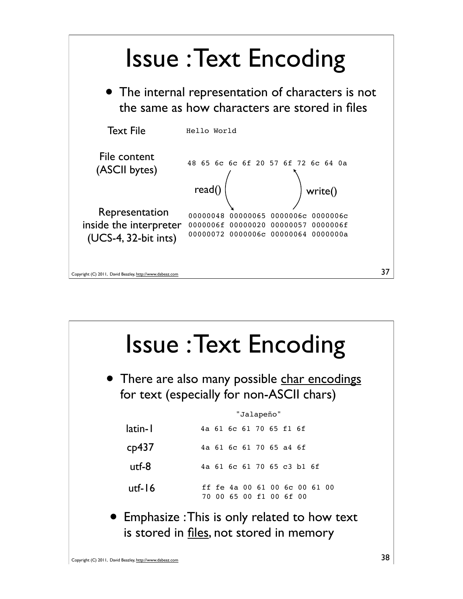

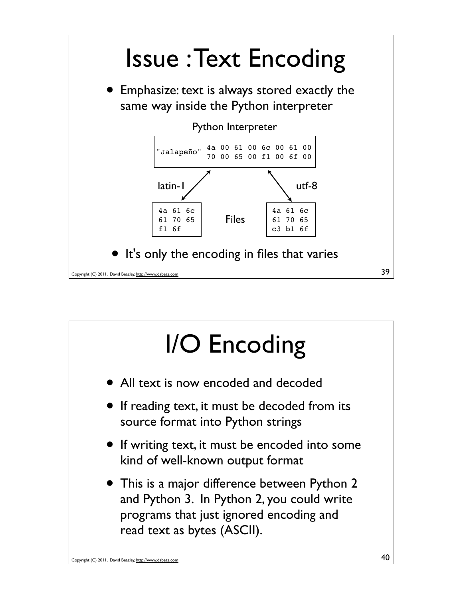

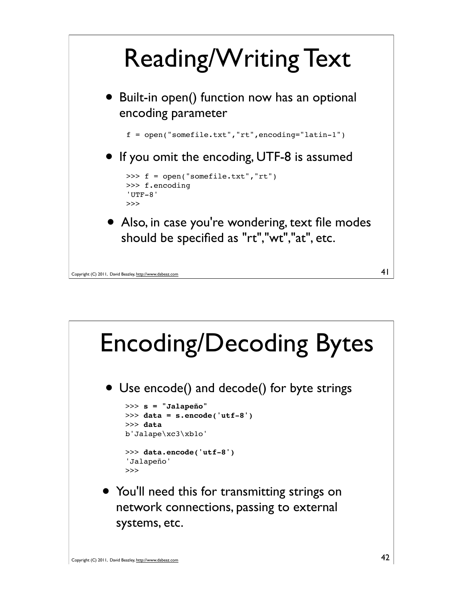

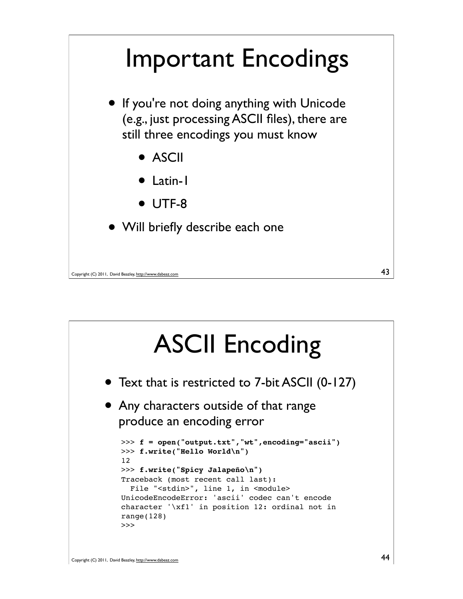

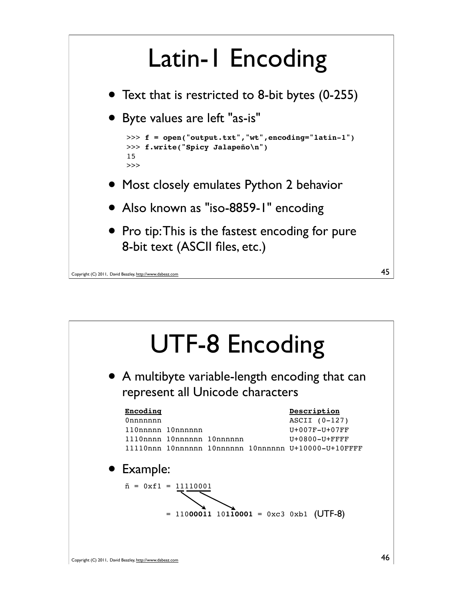## Latin-1 Encoding

- Text that is restricted to 8-bit bytes (0-255)
- Byte values are left "as-is"

```
>>> f = open("output.txt","wt",encoding="latin-1")
>>> f.write("Spicy Jalapeño\n")
15
>>>
```
- Most closely emulates Python 2 behavior
- Also known as "iso-8859-1" encoding
- Pro tip: This is the fastest encoding for pure 8-bit text (ASCII files, etc.)

45

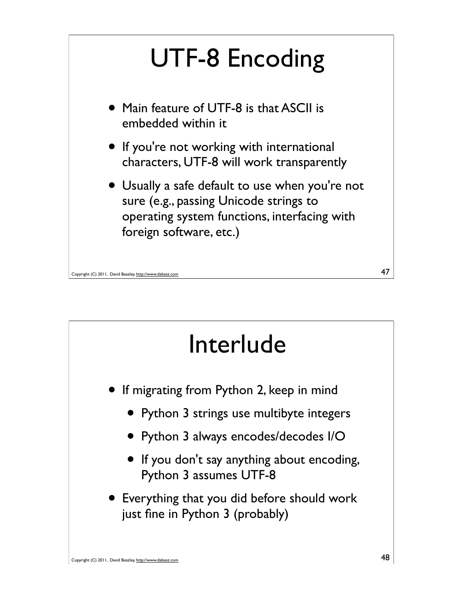

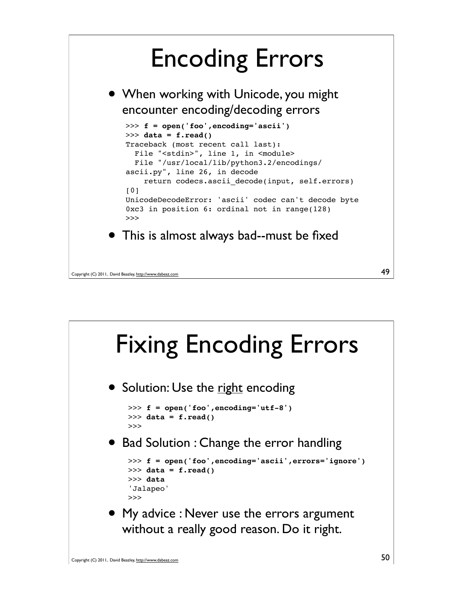# Encoding Errors

• When working with Unicode, you might encounter encoding/decoding errors



```
Copyright (C) 2011, David Beazley, http://www.dabeaz.com
```


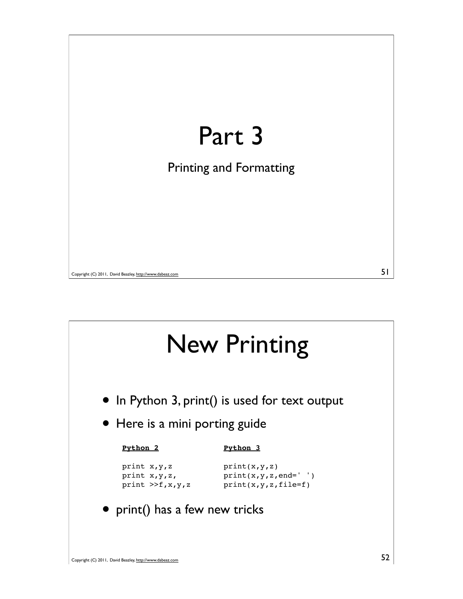

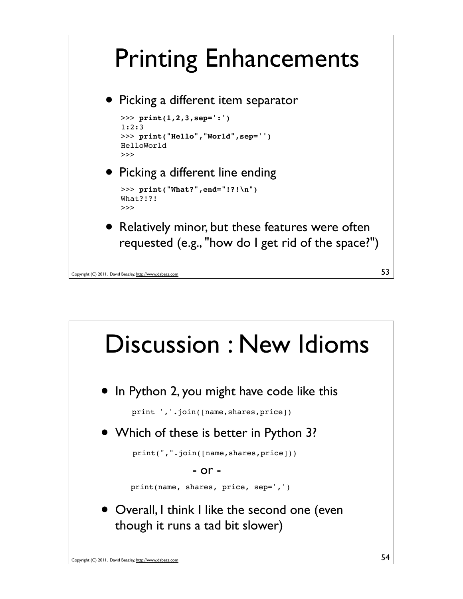# Printing Enhancements

• Picking a different item separator

```
>>> print(1,2,3,sep=':')
1:2:3
>>> print("Hello","World",sep='')
HelloWorld
>>>
```
#### • Picking a different line ending

```
>>> print("What?",end="!?!\n")
What?!?!
>>>
```
Relatively minor, but these features were often requested (e.g., "how do I get rid of the space?")

```
Copyright (C) 2011, David Beazley, http://www.dabeaz.com
```


53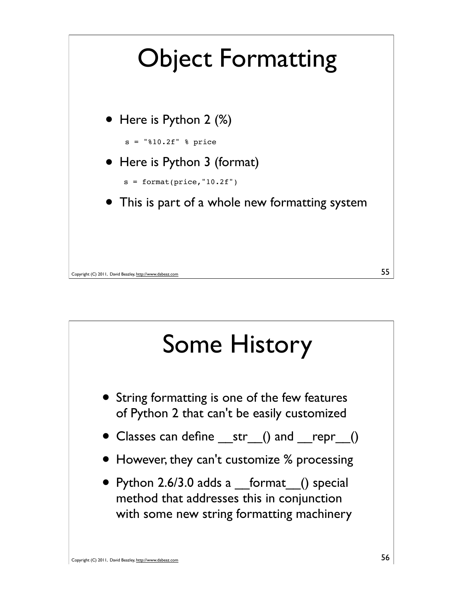

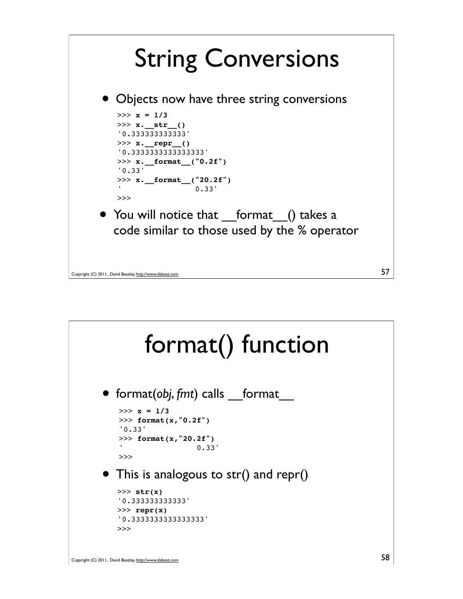

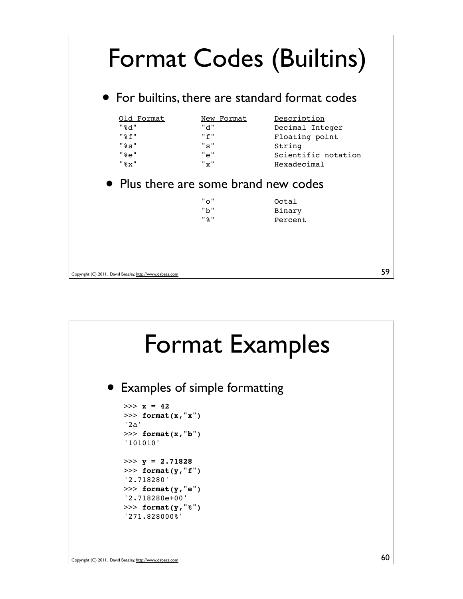

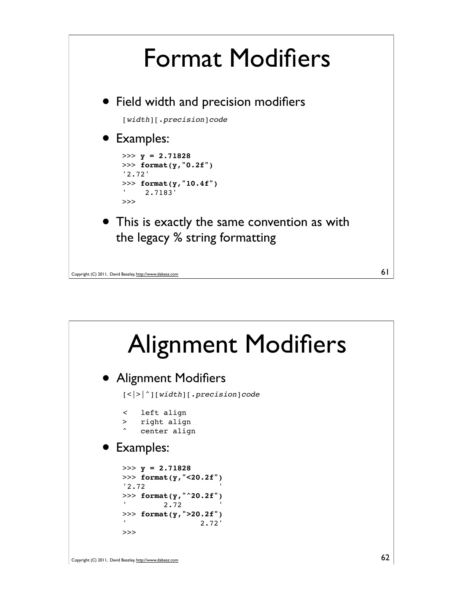

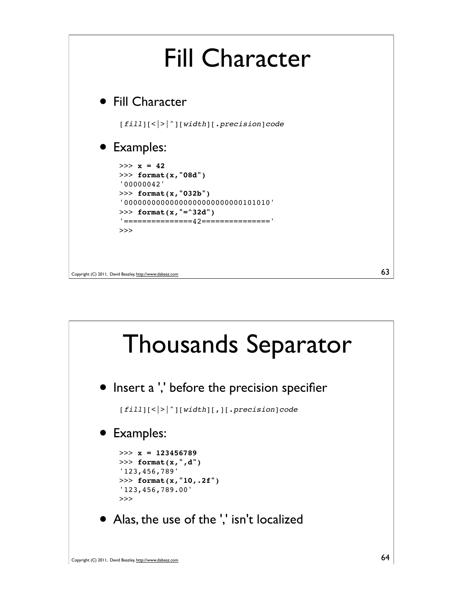

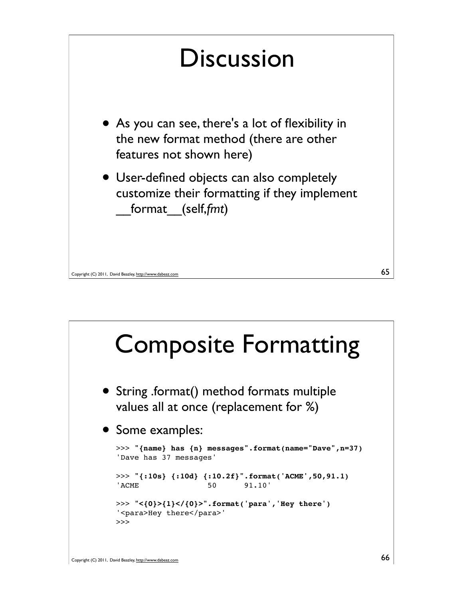

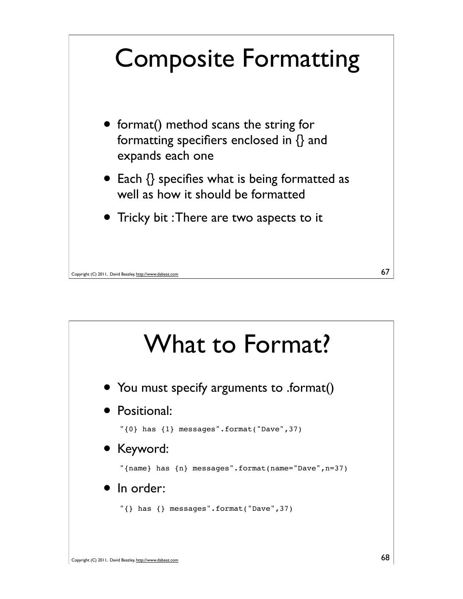

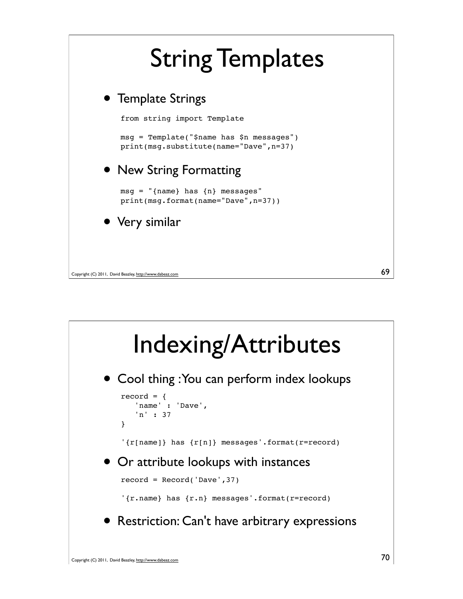

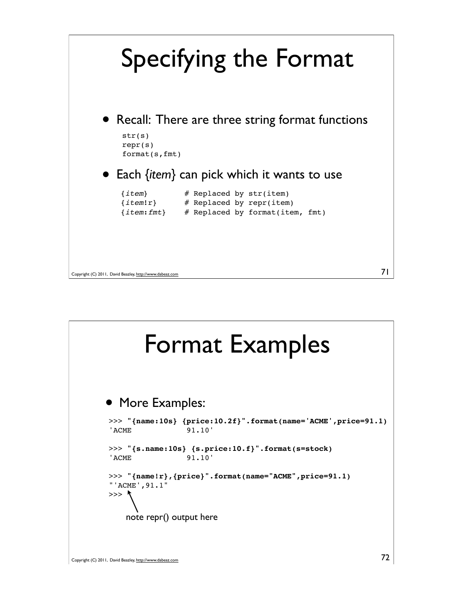

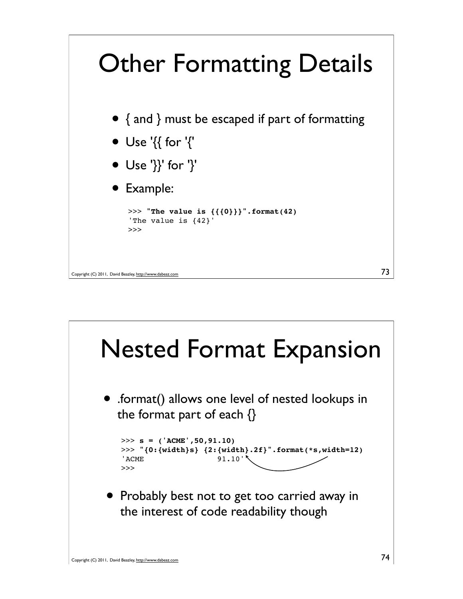

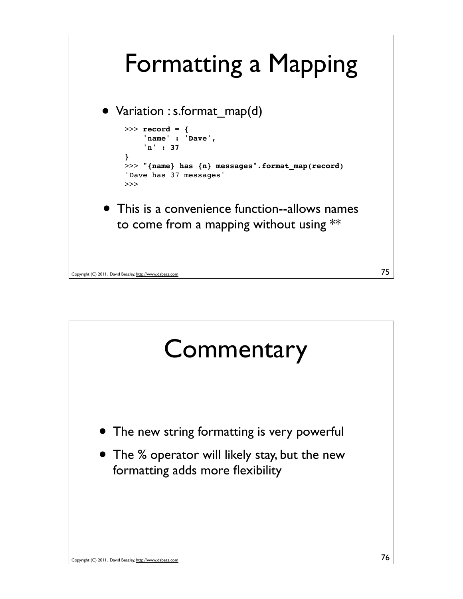

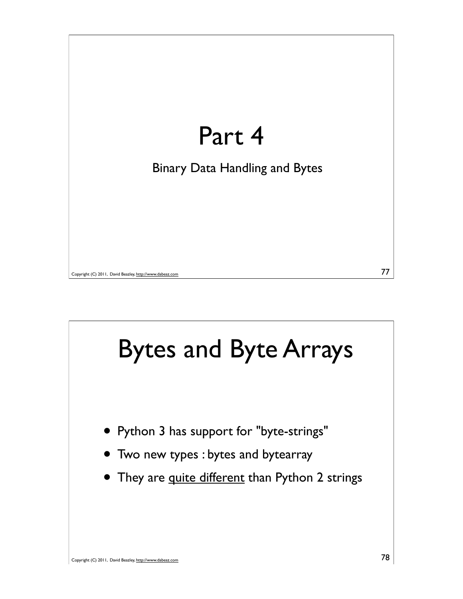

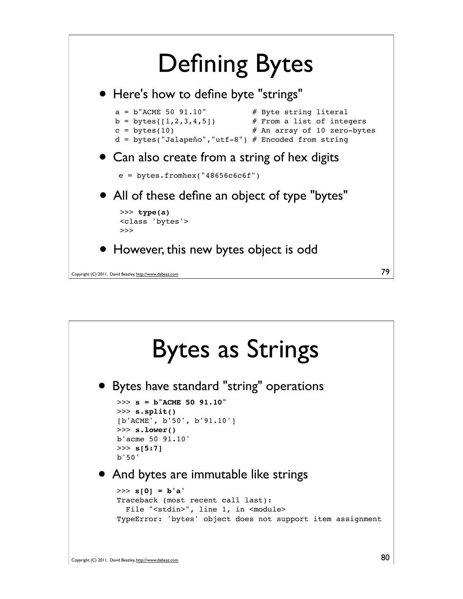

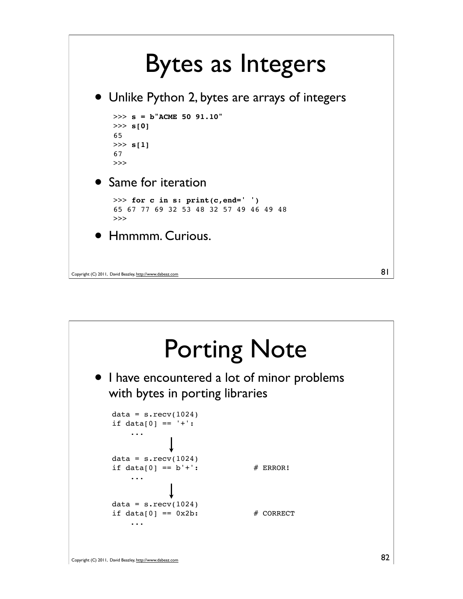

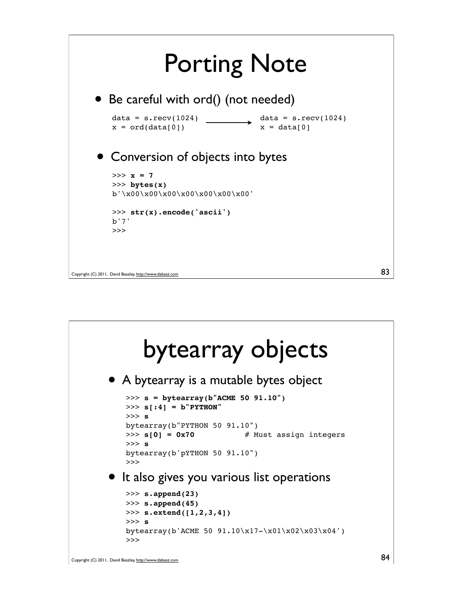

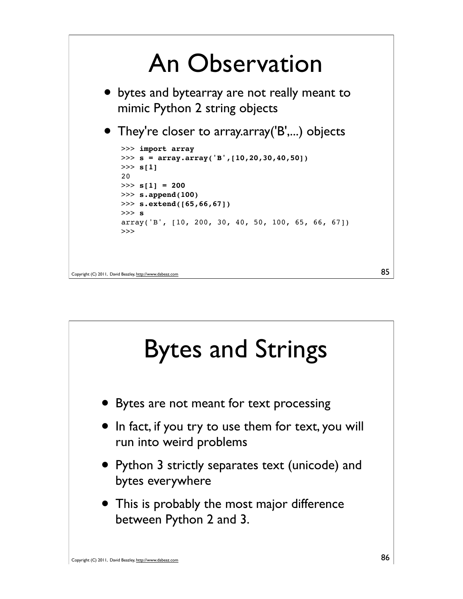

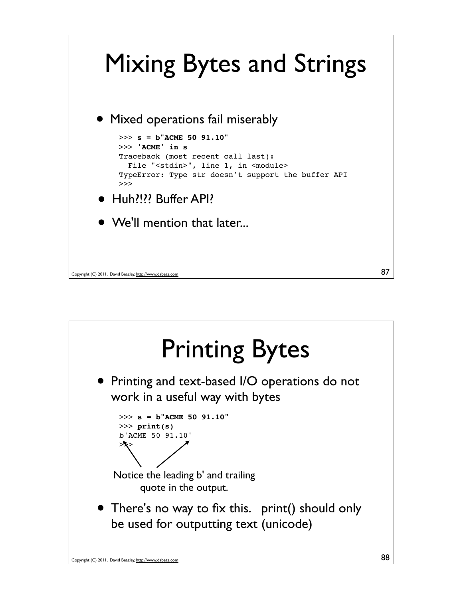

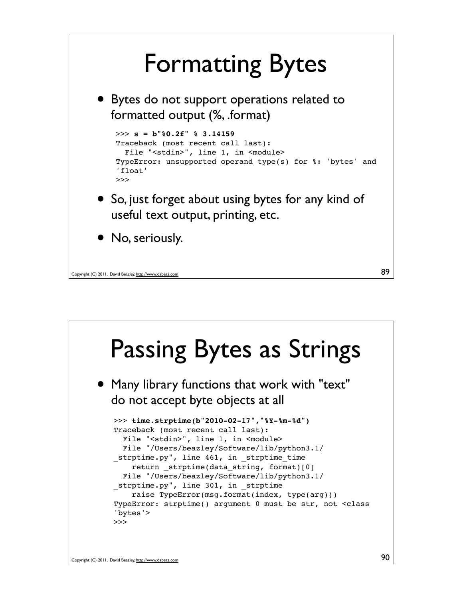## Formatting Bytes

• Bytes do not support operations related to formatted output (%, .format)

```
>>> s = b"%0.2f" % 3.14159
Traceback (most recent call last):
 File "<stdin>", line 1, in <module>
TypeError: unsupported operand type(s) for %: 'bytes' and 
'float'
>>>
```
- So, just forget about using bytes for any kind of useful text output, printing, etc.
- No, seriously.

```
Copyright (C) 2011, David Beazley, http://www.dabeaz.com
```


89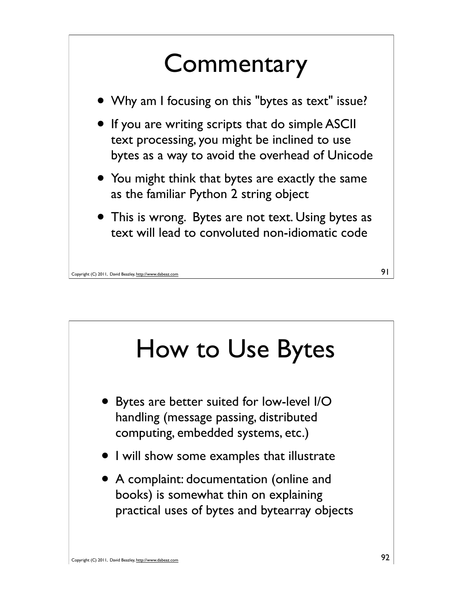

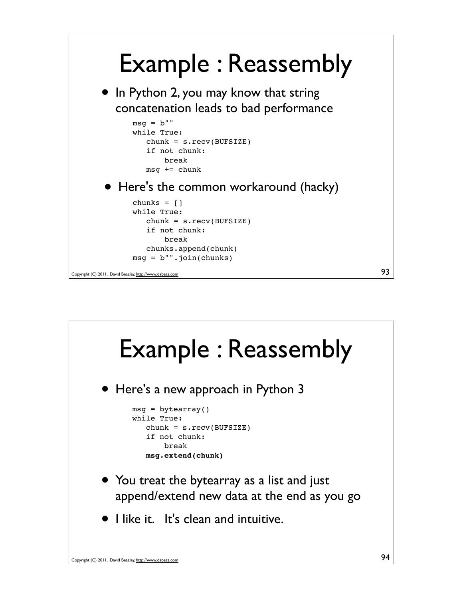

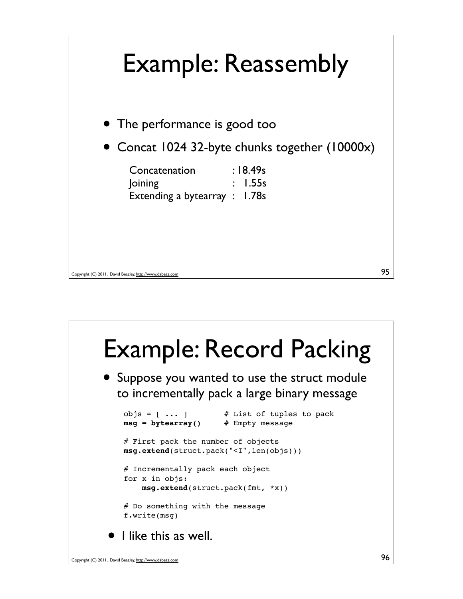

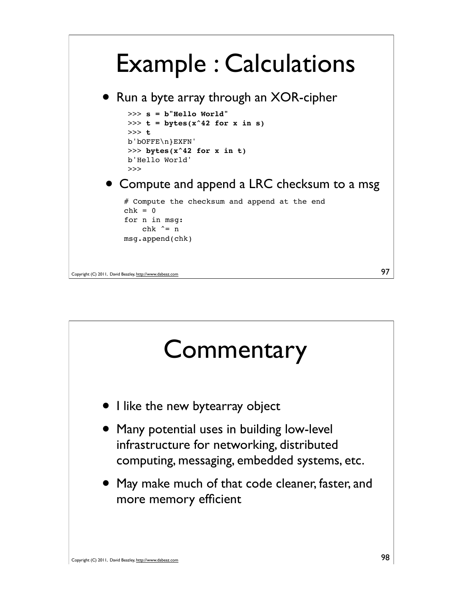## Example : Calculations



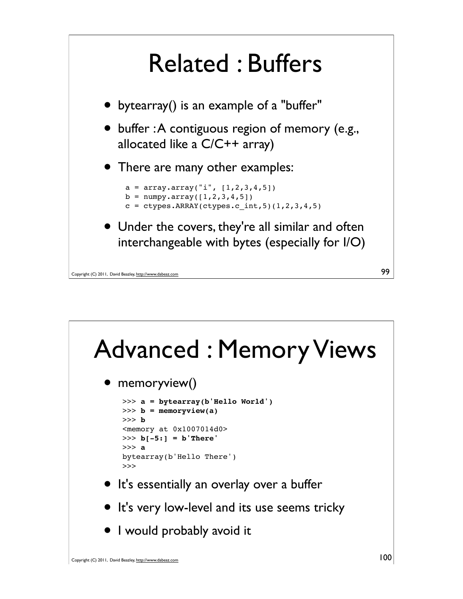

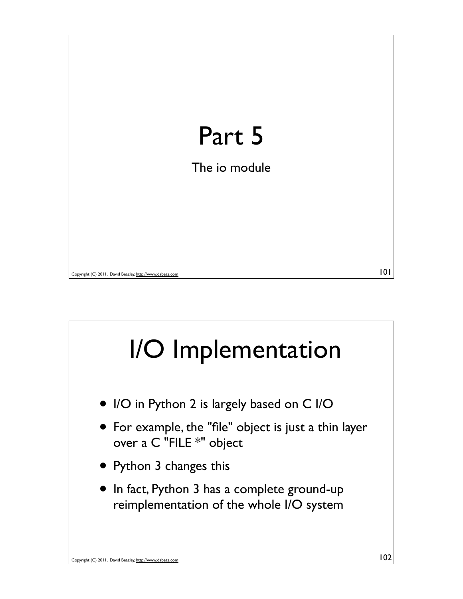

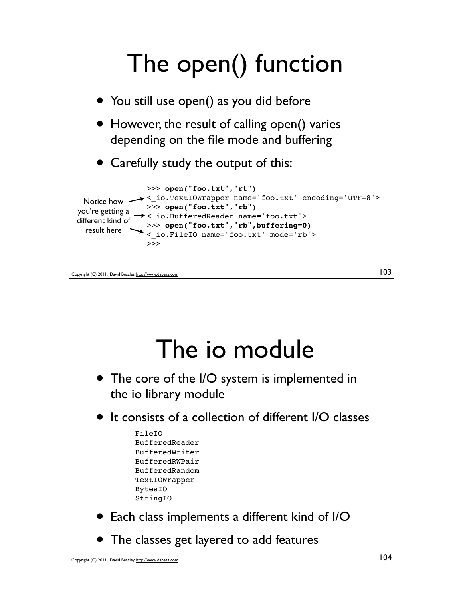

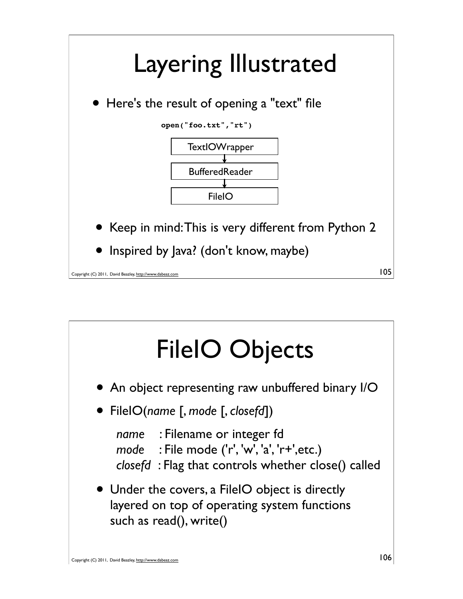

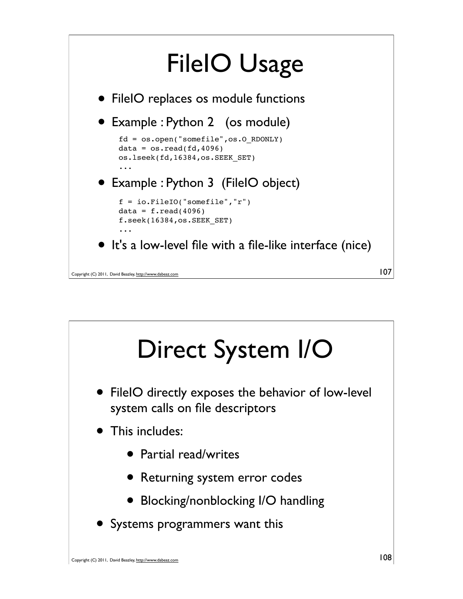

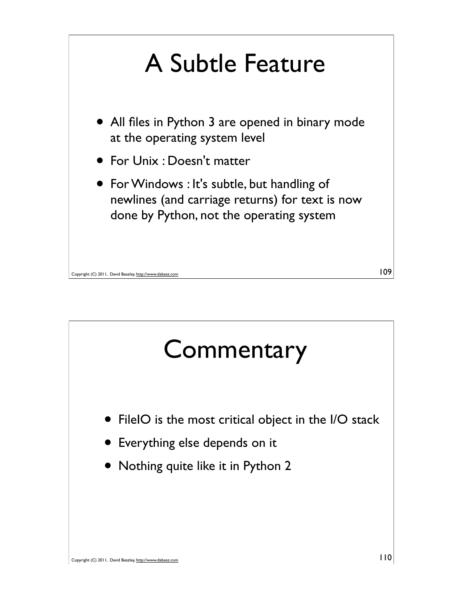

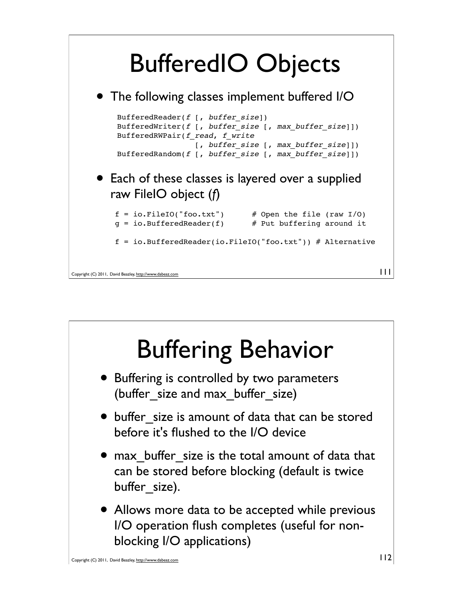

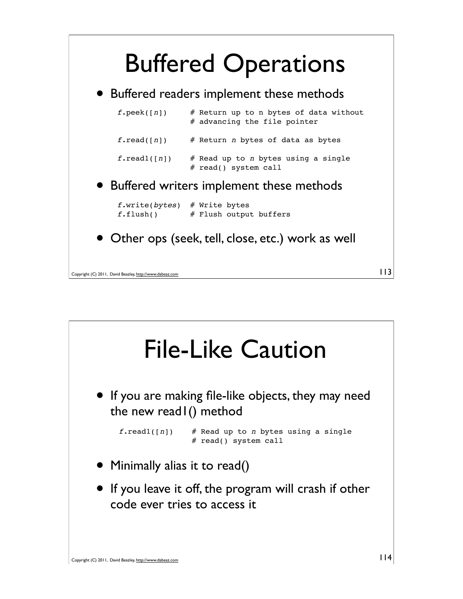

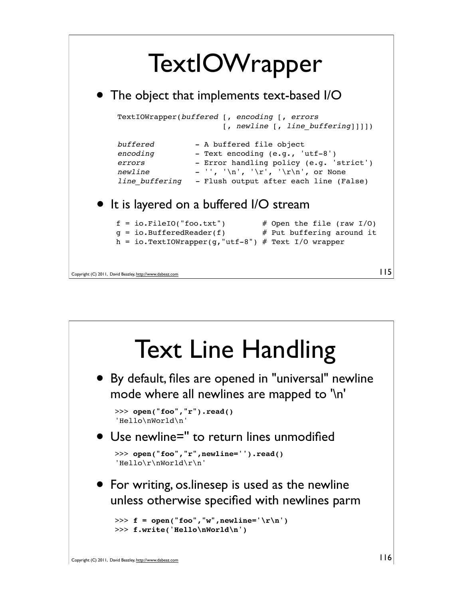

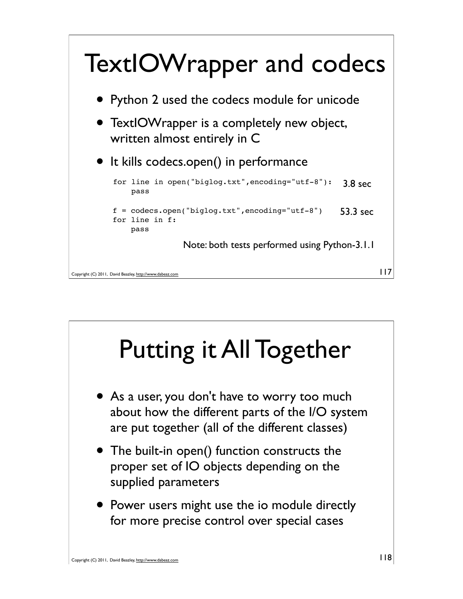

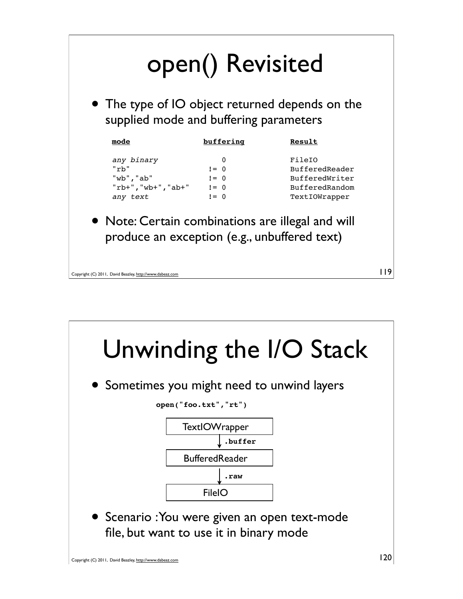

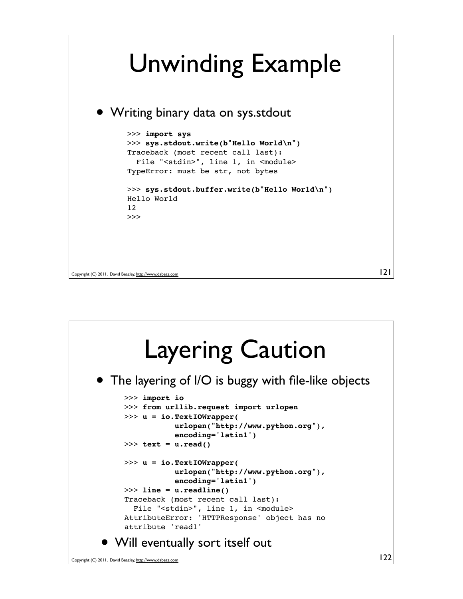

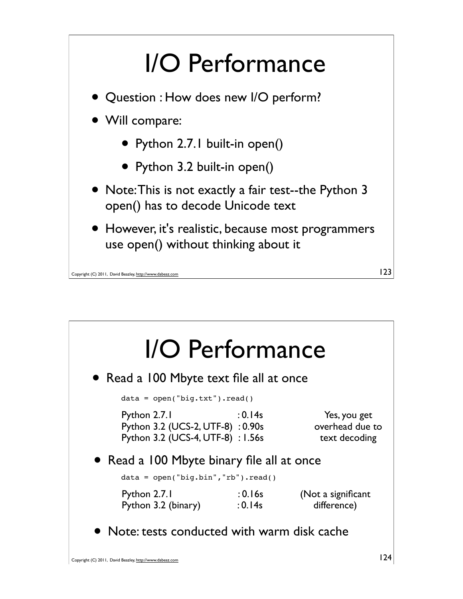

| • Read a 100 Mbyte text file all at once                                         |                                                  |
|----------------------------------------------------------------------------------|--------------------------------------------------|
| $data = open("big.txt")$ .read()                                                 |                                                  |
| : 0.14s<br>Python 3.2 (UCS-2, UTF-8): 0.90s<br>Python 3.2 (UCS-4, UTF-8) : 1.56s | Yes, you get<br>overhead due to<br>text decoding |
| • Read a 100 Mbyte binary file all at once                                       |                                                  |
| $data = open("big,bin", "rb").read()$                                            |                                                  |
| $:0.16$ s<br>: 0.14s                                                             | (Not a significant<br>difference)                |
|                                                                                  |                                                  |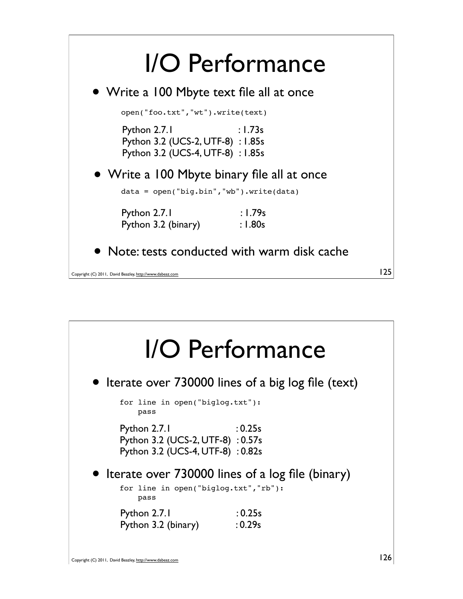

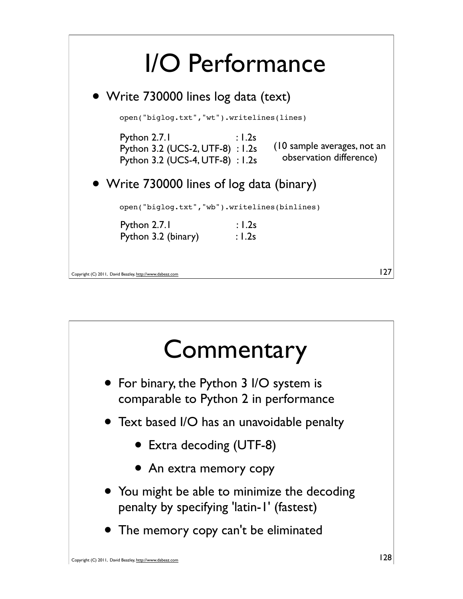

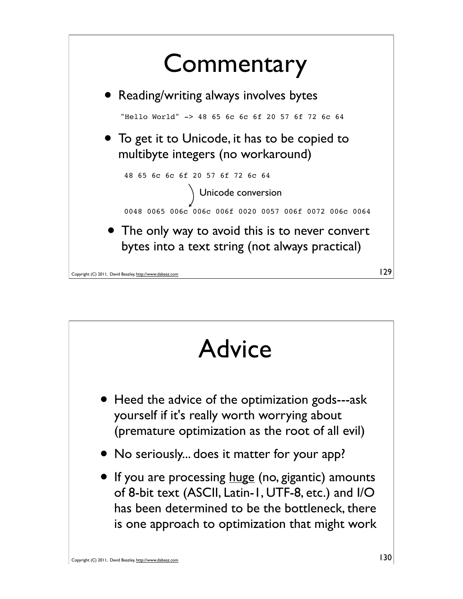

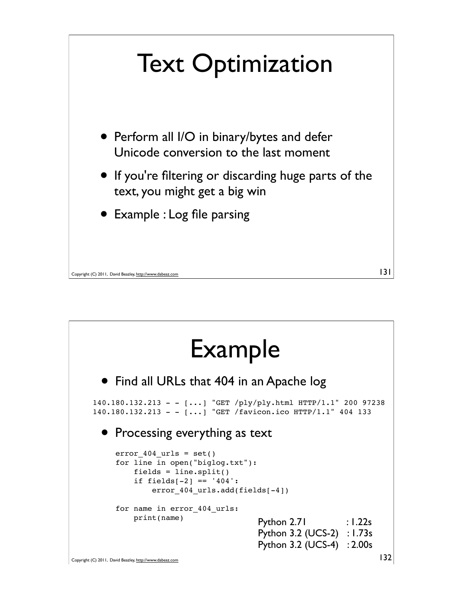

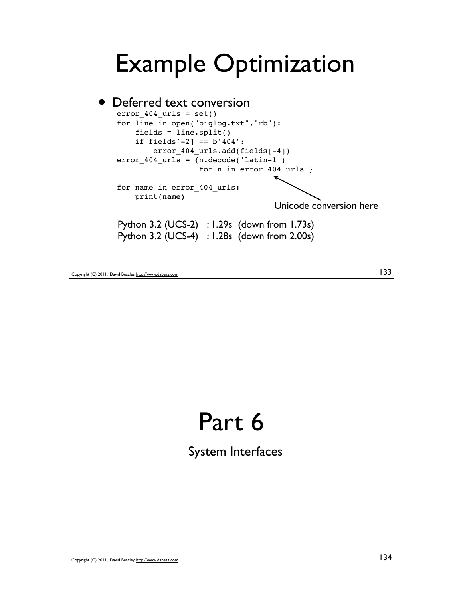

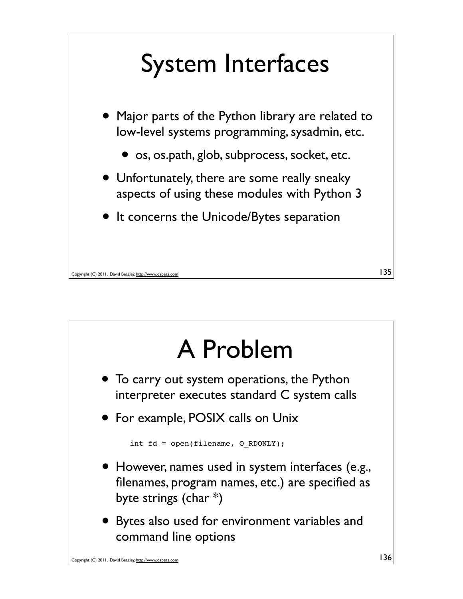

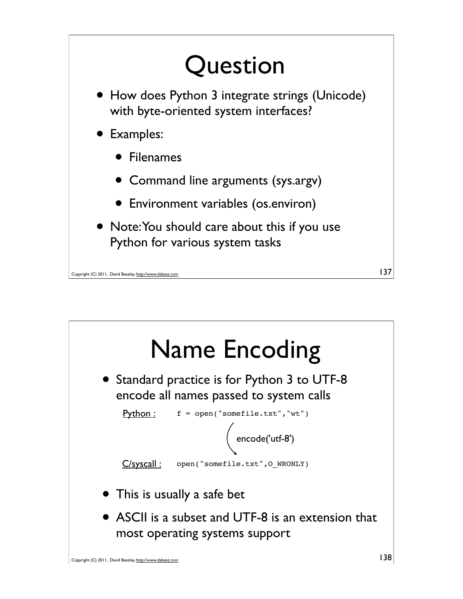

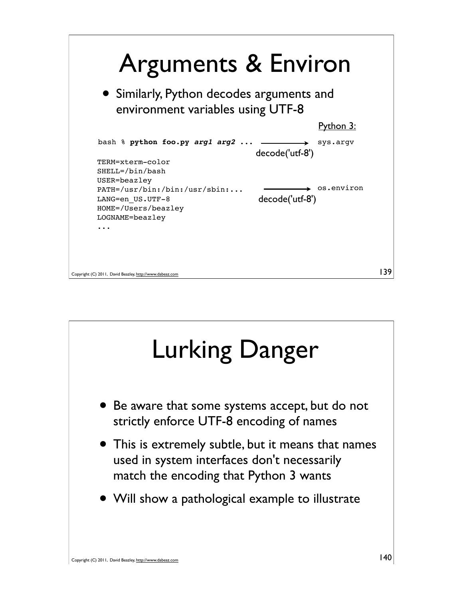

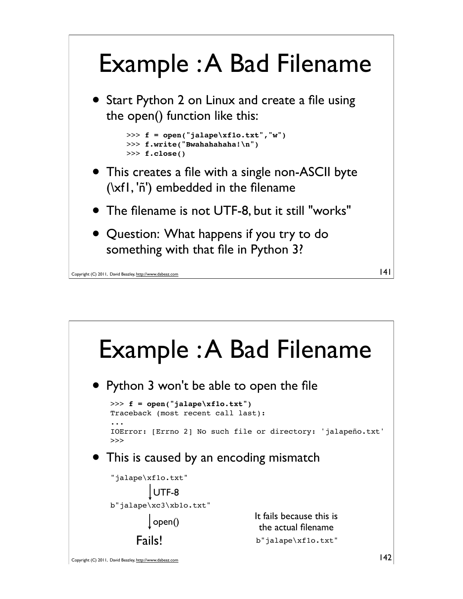

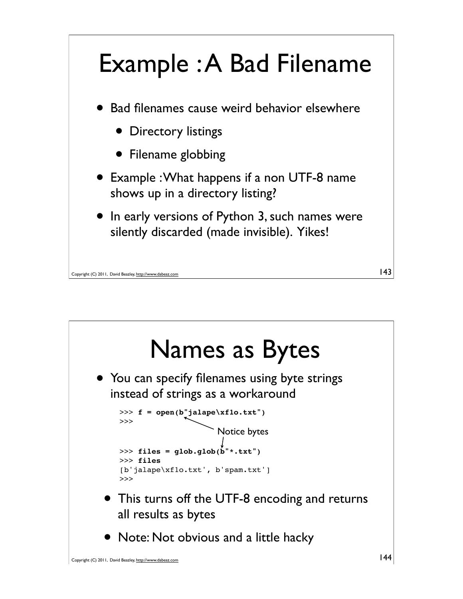

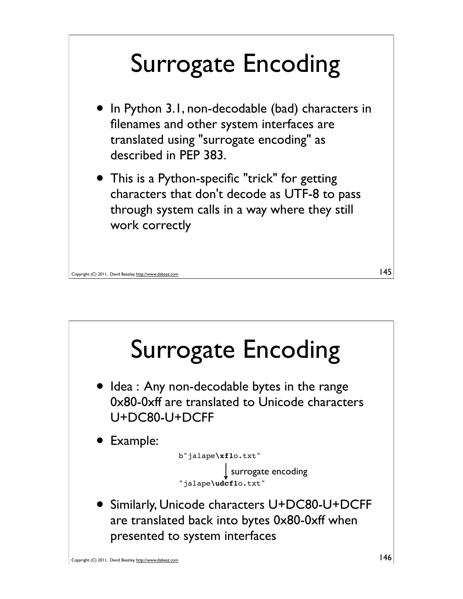## Surrogate Encoding

- In Python 3.1, non-decodable (bad) characters in filenames and other system interfaces are translated using "surrogate encoding" as described in PEP 383.
- This is a Python-specific "trick" for getting characters that don't decode as UTF-8 to pass through system calls in a way where they still work correctly

```
Copyright (C) 2011, David Beazley, http://www.dabeaz.com
```


145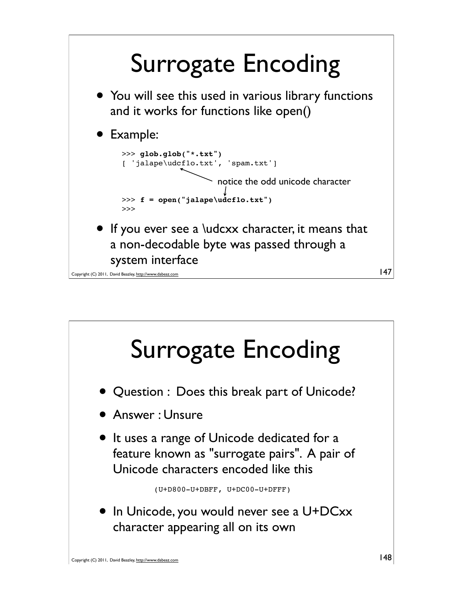

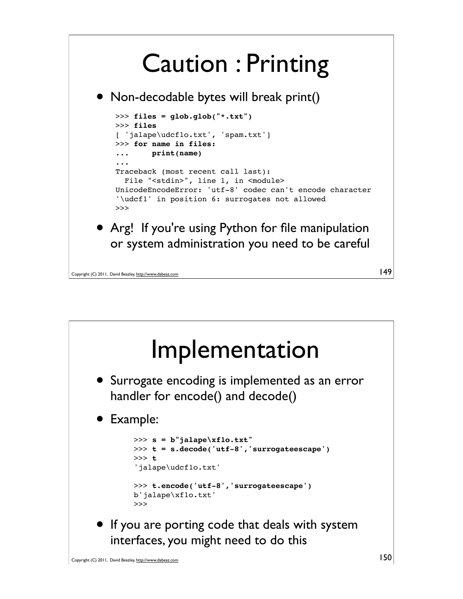## Caution : Printing

• Non-decodable bytes will break print()



or system administration you need to be careful

Copyright (C) 2011, David Beazley, http://www.dabeaz.com



149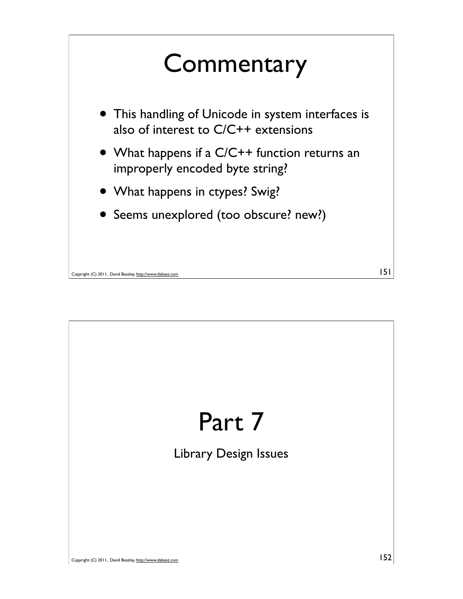

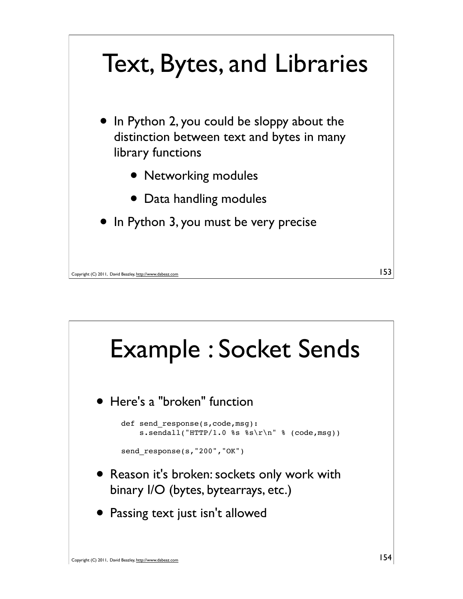

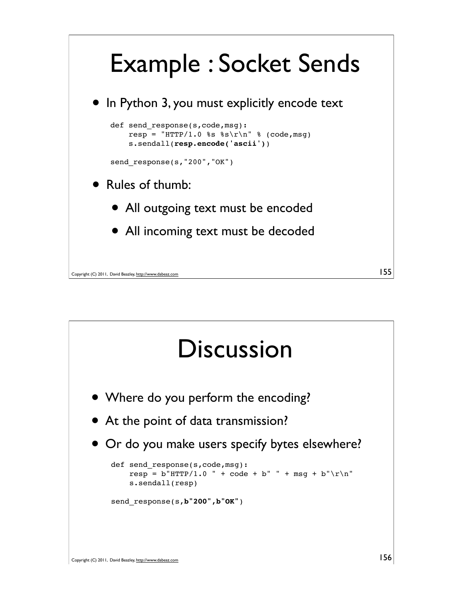

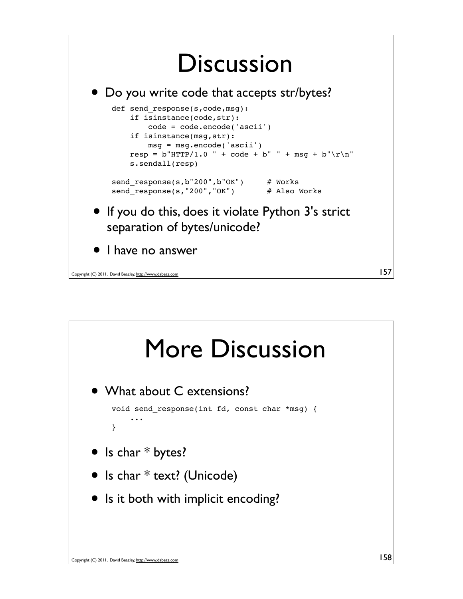

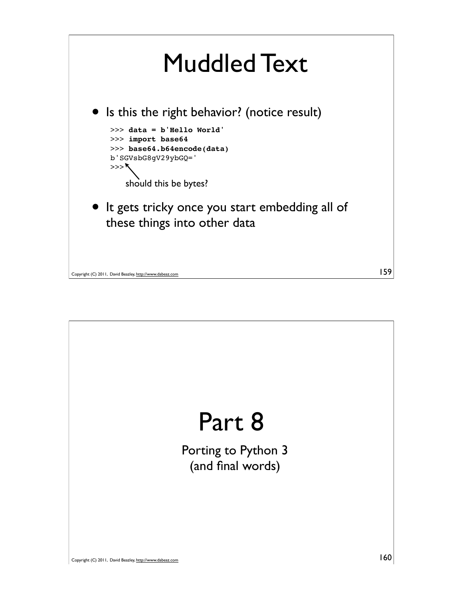

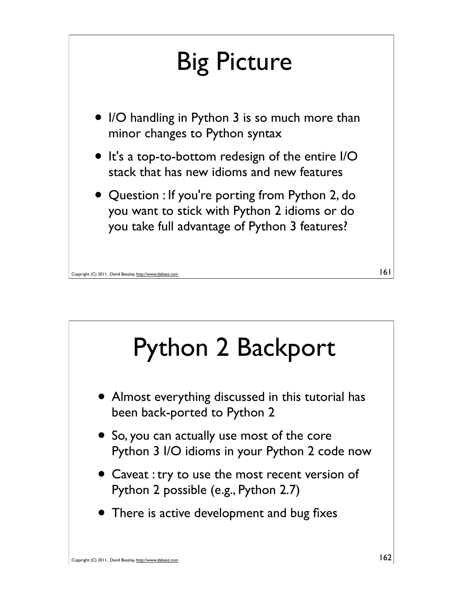

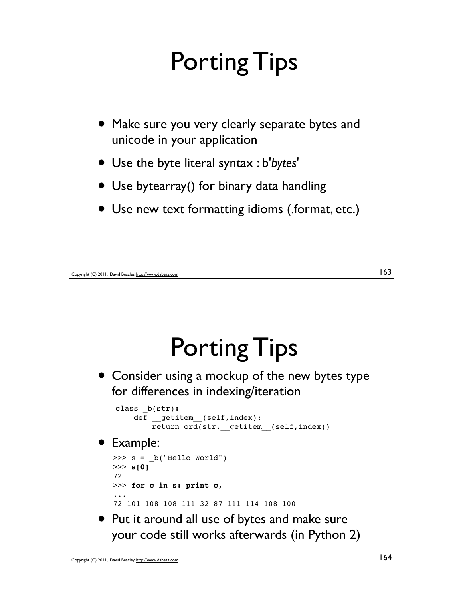

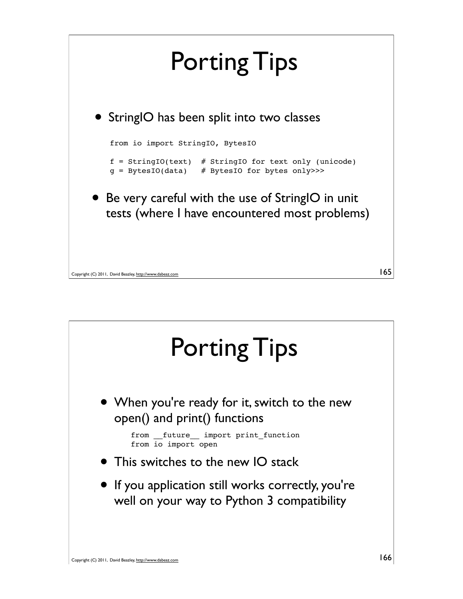

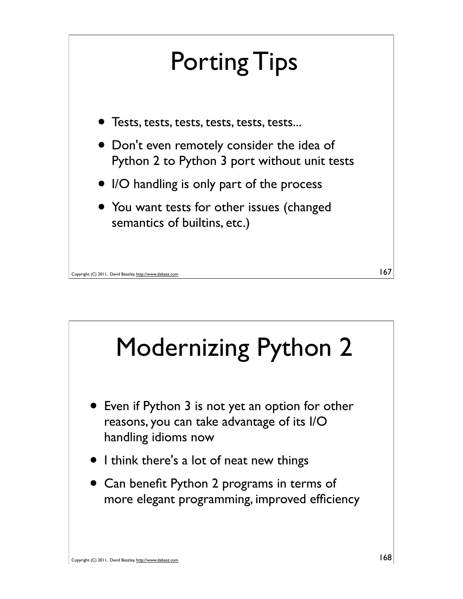